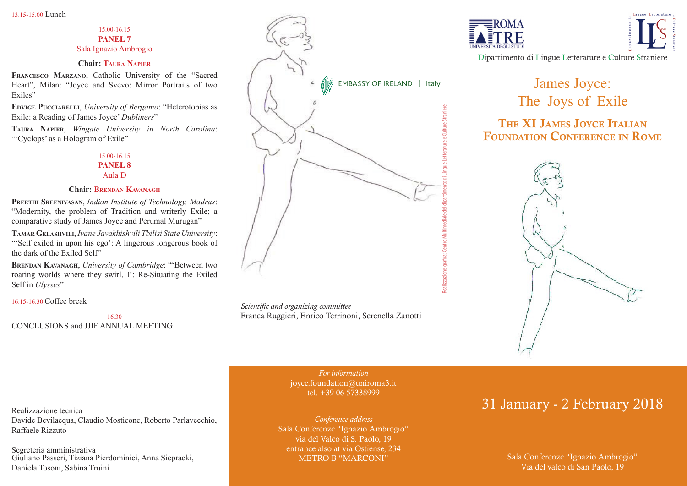#### 15.00-16.15 **PANEL 7** Sala Ignazio Ambrogio

## **Chair: Taura Napier**

**Francesco Marzano**, Catholic University of the "Sacred Heart", Milan: "Joyce and Svevo: Mirror Portraits of two Exiles"

**Edvige Pucciarelli**, *University of Bergamo*: "Heterotopias as Exile: a Reading of James Joyce' *Dubliners*"

**Taura Napier**, *Wingate University in North Carolina*: "'Cyclops' as a Hologram of Exile"

> 15.00-16.15 **PANEL 8**

Aula D

#### **Chair: Brendan Kavanagh**

**Preethi Sreenivasan**, *Indian Institute of Technology, Madras*: "Modernity, the problem of Tradition and writerly Exile; a comparative study of James Joyce and Perumal Murugan"

**Tamar Gelashvili**, *Ivane Javakhishvili Tbilisi State University*: "Self exiled in upon his ego': A lingerous longerous book of the dark of the Exiled Self"

**Brendan Kavanagh**, *University of Cambridge*: "'Between two roaring worlds where they swirl, I': Re-Situating the Exiled Self in *Ulysses*"

16.15-16.30 Coffee break

16.30 CONCLUSIONS and JJIF ANNUAL MEETING



*Scientific and organizing committee* Franca Ruggieri, Enrico Terrinoni, Serenella Zanotti

> *For information* joyce.foundation@uniroma3.it tel. +39 06 57338999

*Conference address* Sala Conferenze "Ignazio Ambrogio" via del Valco di S. Paolo, 19 entrance also at via Ostiense, 234 METRO B "MARCONI"





Dipartimento di Lingue Letterature e Culture Straniere

# James Joyce: The Joys of Exile

# The XI James Joyce Italian Foundation Conference in Rome



# 31 January - 2 February 2018

Sala Conferenze "Ignazio Ambrogio" Via del valco di San Paolo, 19

Realizzazione tecnica Davide Bevilacqua, Claudio Mosticone, Roberto Parlavecchio, Raffaele Rizzuto

Segreteria amministrativa Giuliano Passeri, Tiziana Pierdominici, Anna Siepracki, Daniela Tosoni, Sabina Truini